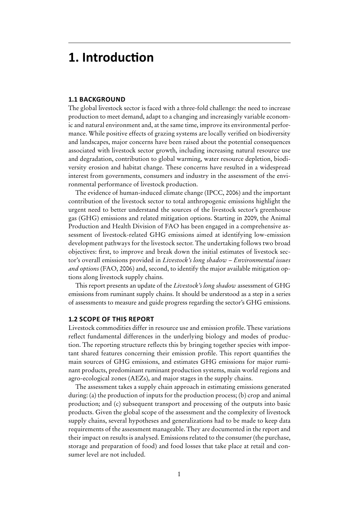# **1. Introduction**

#### **1.1 background**

The global livestock sector is faced with a three-fold challenge: the need to increase production to meet demand, adapt to a changing and increasingly variable economic and natural environment and, at the same time, improve its environmental performance. While positive effects of grazing systems are locally verified on biodiversity and landscapes, major concerns have been raised about the potential consequences associated with livestock sector growth, including increasing natural resource use and degradation, contribution to global warming, water resource depletion, biodiversity erosion and habitat change. These concerns have resulted in a widespread interest from governments, consumers and industry in the assessment of the environmental performance of livestock production.

The evidence of human-induced climate change (IPCC, 2006) and the important contribution of the livestock sector to total anthropogenic emissions highlight the urgent need to better understand the sources of the livestock sector's greenhouse gas (GHG) emissions and related mitigation options. Starting in 2009, the Animal Production and Health Division of FAO has been engaged in a comprehensive assessment of livestock-related GHG emissions aimed at identifying low-emission development pathways for the livestock sector. The undertaking follows two broad objectives: first, to improve and break down the initial estimates of livestock sector's overall emissions provided in *Livestock's long shadow – Environmental issues and options* (FAO, 2006) and, second, to identify the major available mitigation options along livestock supply chains.

This report presents an update of the *Livestock's long shadow* assessment of GHG emissions from ruminant supply chains. It should be understood as a step in a series of assessments to measure and guide progress regarding the sector's GHG emissions.

## **1.2 Scope of this report**

Livestock commodities differ in resource use and emission profile. These variations reflect fundamental differences in the underlying biology and modes of production. The reporting structure reflects this by bringing together species with important shared features concerning their emission profile. This report quantifies the main sources of GHG emissions, and estimates GHG emissions for major ruminant products, predominant ruminant production systems, main world regions and agro-ecological zones (AEZs), and major stages in the supply chains.

The assessment takes a supply chain approach in estimating emissions generated during: (a) the production of inputs for the production process; (b) crop and animal production; and (c) subsequent transport and processing of the outputs into basic products. Given the global scope of the assessment and the complexity of livestock supply chains, several hypotheses and generalizations had to be made to keep data requirements of the assessment manageable. They are documented in the report and their impact on results is analysed. Emissions related to the consumer (the purchase, storage and preparation of food) and food losses that take place at retail and consumer level are not included.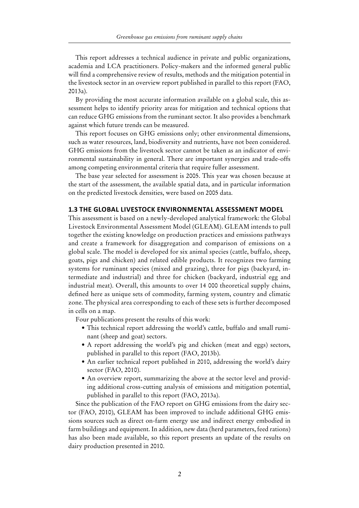This report addresses a technical audience in private and public organizations, academia and LCA practitioners. Policy-makers and the informed general public will find a comprehensive review of results, methods and the mitigation potential in the livestock sector in an overview report published in parallel to this report (FAO, 2013a).

By providing the most accurate information available on a global scale, this assessment helps to identify priority areas for mitigation and technical options that can reduce GHG emissions from the ruminant sector. It also provides a benchmark against which future trends can be measured.

This report focuses on GHG emissions only; other environmental dimensions, such as water resources, land, biodiversity and nutrients, have not been considered. GHG emissions from the livestock sector cannot be taken as an indicator of environmental sustainability in general. There are important synergies and trade-offs among competing environmental criteria that require fuller assessment.

The base year selected for assessment is 2005. This year was chosen because at the start of the assessment, the available spatial data, and in particular information on the predicted livestock densities, were based on 2005 data.

#### **1.3 The Global Livestock Environmental Assessment Model**

This assessment is based on a newly-developed analytical framework: the Global Livestock Environmental Assessment Model (GLEAM). GLEAM intends to pull together the existing knowledge on production practices and emissions pathways and create a framework for disaggregation and comparison of emissions on a global scale. The model is developed for six animal species (cattle, buffalo, sheep, goats, pigs and chicken) and related edible products. It recognizes two farming systems for ruminant species (mixed and grazing), three for pigs (backyard, intermediate and industrial) and three for chicken (backyard, industrial egg and industrial meat). Overall, this amounts to over 14 000 theoretical supply chains, defined here as unique sets of commodity, farming system, country and climatic zone. The physical area corresponding to each of these sets is further decomposed in cells on a map.

Four publications present the results of this work:

- This technical report addressing the world's cattle, buffalo and small ruminant (sheep and goat) sectors.
- A report addressing the world's pig and chicken (meat and eggs) sectors, published in parallel to this report (FAO, 2013b).
- An earlier technical report published in 2010, addressing the world's dairy sector (FAO, 2010).
- An overview report, summarizing the above at the sector level and providing additional cross-cutting analysis of emissions and mitigation potential, published in parallel to this report (FAO, 2013a).

Since the publication of the FAO report on GHG emissions from the dairy sector (FAO, 2010), GLEAM has been improved to include additional GHG emissions sources such as direct on-farm energy use and indirect energy embodied in farm buildings and equipment. In addition, new data (herd parameters, feed rations) has also been made available, so this report presents an update of the results on dairy production presented in 2010.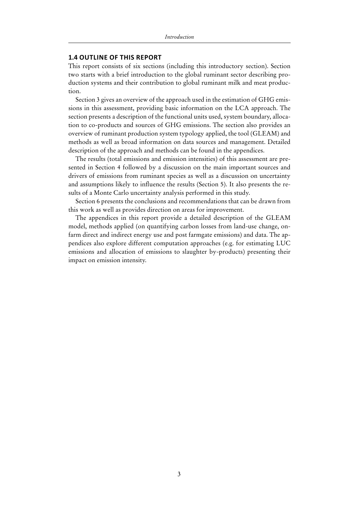#### **1.4 Outline of this report**

This report consists of six sections (including this introductory section). Section two starts with a brief introduction to the global ruminant sector describing production systems and their contribution to global ruminant milk and meat production.

Section 3 gives an overview of the approach used in the estimation of GHG emissions in this assessment, providing basic information on the LCA approach. The section presents a description of the functional units used, system boundary, allocation to co-products and sources of GHG emissions. The section also provides an overview of ruminant production system typology applied, the tool (GLEAM) and methods as well as broad information on data sources and management. Detailed description of the approach and methods can be found in the appendices.

The results (total emissions and emission intensities) of this assessment are presented in Section 4 followed by a discussion on the main important sources and drivers of emissions from ruminant species as well as a discussion on uncertainty and assumptions likely to influence the results (Section 5). It also presents the results of a Monte Carlo uncertainty analysis performed in this study.

Section 6 presents the conclusions and recommendations that can be drawn from this work as well as provides direction on areas for improvement.

The appendices in this report provide a detailed description of the GLEAM model, methods applied (on quantifying carbon losses from land-use change, onfarm direct and indirect energy use and post farmgate emissions) and data. The appendices also explore different computation approaches (e.g. for estimating LUC emissions and allocation of emissions to slaughter by-products) presenting their impact on emission intensity.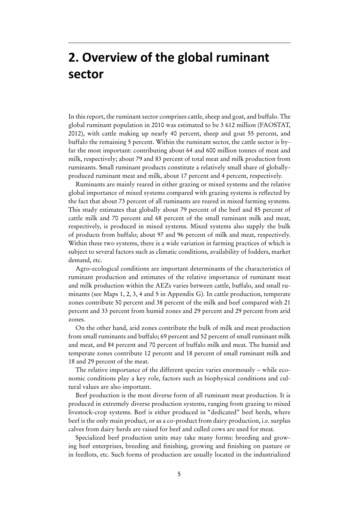# **2. Overview of the global ruminant sector**

In this report, the ruminant sector comprises cattle, sheep and goat, and buffalo. The global ruminant population in 2010 was estimated to be 3 612 million (FAOSTAT, 2012), with cattle making up nearly 40 percent, sheep and goat 55 percent, and buffalo the remaining 5 percent. Within the ruminant sector, the cattle sector is byfar the most important: contributing about 64 and 600 million tonnes of meat and milk, respectively; about 79 and 83 percent of total meat and milk production from ruminants. Small ruminant products constitute a relatively small share of globallyproduced ruminant meat and milk, about 17 percent and 4 percent, respectively.

Ruminants are mainly reared in either grazing or mixed systems and the relative global importance of mixed systems compared with grazing systems is reflected by the fact that about 73 percent of all ruminants are reared in mixed farming systems. This study estimates that globally about 79 percent of the beef and 85 percent of cattle milk and 70 percent and 68 percent of the small ruminant milk and meat, respectively, is produced in mixed systems. Mixed systems also supply the bulk of products from buffalo; about 97 and 96 percent of milk and meat, respectively. Within these two systems, there is a wide variation in farming practices of which is subject to several factors such as climatic conditions, availability of fodders, market demand, etc.

Agro-ecological conditions are important determinants of the characteristics of ruminant production and estimates of the relative importance of ruminant meat and milk production within the AEZs varies between cattle, buffalo, and small ruminants (see Maps 1, 2, 3, 4 and 5 in Appendix G). In cattle production, temperate zones contribute 50 percent and 38 percent of the milk and beef compared with 21 percent and 33 percent from humid zones and 29 percent and 29 percent from arid zones.

On the other hand, arid zones contribute the bulk of milk and meat production from small ruminants and buffalo; 69 percent and 52 percent of small ruminant milk and meat, and 84 percent and 70 percent of buffalo milk and meat. The humid and temperate zones contribute 12 percent and 18 percent of small ruminant milk and 18 and 29 percent of the meat.

The relative importance of the different species varies enormously – while economic conditions play a key role, factors such as biophysical conditions and cultural values are also important.

Beef production is the most diverse form of all ruminant meat production. It is produced in extremely diverse production systems, ranging from grazing to mixed livestock-crop systems. Beef is either produced in "dedicated" beef herds, where beef is the only main product, or as a co-product from dairy production, i.e. surplus calves from dairy herds are raised for beef and culled cows are used for meat.

Specialized beef production units may take many forms: breeding and growing beef enterprises, breeding and finishing, growing and finishing on pasture or in feedlots, etc. Such forms of production are usually located in the industrialized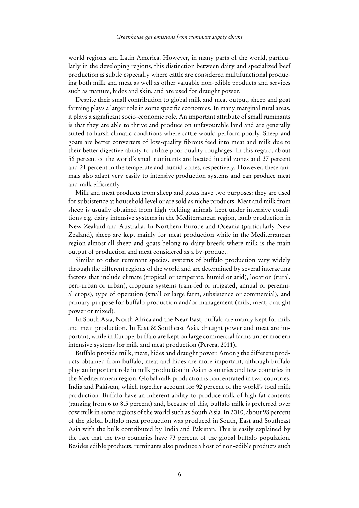world regions and Latin America. However, in many parts of the world, particularly in the developing regions, this distinction between dairy and specialized beef production is subtle especially where cattle are considered multifunctional producing both milk and meat as well as other valuable non-edible products and services such as manure, hides and skin, and are used for draught power.

Despite their small contribution to global milk and meat output, sheep and goat farming plays a larger role in some specific economies. In many marginal rural areas, it plays a significant socio-economic role. An important attribute of small ruminants is that they are able to thrive and produce on unfavourable land and are generally suited to harsh climatic conditions where cattle would perform poorly. Sheep and goats are better converters of low-quality fibrous feed into meat and milk due to their better digestive ability to utilize poor quality roughages. In this regard, about 56 percent of the world's small ruminants are located in arid zones and 27 percent and 21 percent in the temperate and humid zones, respectively. However, these animals also adapt very easily to intensive production systems and can produce meat and milk efficiently.

Milk and meat products from sheep and goats have two purposes: they are used for subsistence at household level or are sold as niche products. Meat and milk from sheep is usually obtained from high yielding animals kept under intensive conditions e.g. dairy intensive systems in the Mediterranean region, lamb production in New Zealand and Australia. In Northern Europe and Oceania (particularly New Zealand), sheep are kept mainly for meat production while in the Mediterranean region almost all sheep and goats belong to dairy breeds where milk is the main output of production and meat considered as a by-product.

Similar to other ruminant species, systems of buffalo production vary widely through the different regions of the world and are determined by several interacting factors that include climate (tropical or temperate, humid or arid), location (rural, peri-urban or urban), cropping systems (rain-fed or irrigated, annual or perennial crops), type of operation (small or large farm, subsistence or commercial), and primary purpose for buffalo production and/or management (milk, meat, draught power or mixed).

In South Asia, North Africa and the Near East, buffalo are mainly kept for milk and meat production. In East & Southeast Asia, draught power and meat are important, while in Europe, buffalo are kept on large commercial farms under modern intensive systems for milk and meat production (Perera, 2011).

Buffalo provide milk, meat, hides and draught power. Among the different products obtained from buffalo, meat and hides are more important, although buffalo play an important role in milk production in Asian countries and few countries in the Mediterranean region. Global milk production is concentrated in two countries, India and Pakistan, which together account for 92 percent of the world's total milk production. Buffalo have an inherent ability to produce milk of high fat contents (ranging from 6 to 8.5 percent) and, because of this, buffalo milk is preferred over cow milk in some regions of the world such as South Asia. In 2010, about 98 percent of the global buffalo meat production was produced in South, East and Southeast Asia with the bulk contributed by India and Pakistan. This is easily explained by the fact that the two countries have 73 percent of the global buffalo population. Besides edible products, ruminants also produce a host of non-edible products such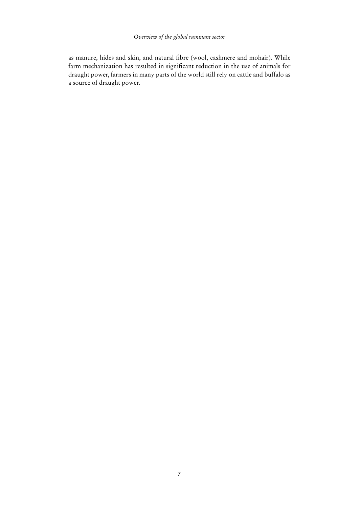as manure, hides and skin, and natural fibre (wool, cashmere and mohair). While farm mechanization has resulted in significant reduction in the use of animals for draught power, farmers in many parts of the world still rely on cattle and buffalo as a source of draught power.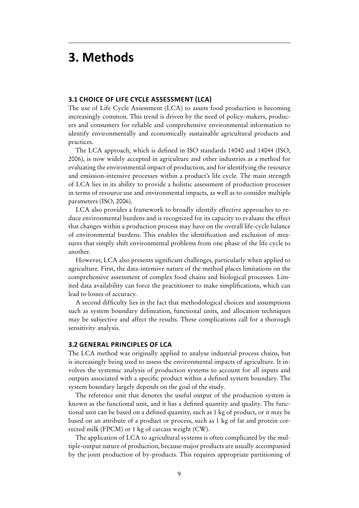# **3. Methods**

#### **3.1 Choice of Life Cycle Assessment (LCA)**

The use of Life Cycle Assessment (LCA) to assess food production is becoming increasingly common. This trend is driven by the need of policy-makers, producers and consumers for reliable and comprehensive environmental information to identify environmentally and economically sustainable agricultural products and practices.

The LCA approach, which is defined in ISO standards 14040 and 14044 (ISO, 2006), is now widely accepted in agriculture and other industries as a method for evaluating the environmental impact of production, and for identifying the resource and emission-intensive processes within a product's life cycle. The main strength of LCA lies in its ability to provide a holistic assessment of production processes in terms of resource use and environmental impacts, as well as to consider multiple parameters (ISO, 2006).

LCA also provides a framework to broadly identify effective approaches to reduce environmental burdens and is recognized for its capacity to evaluate the effect that changes within a production process may have on the overall life-cycle balance of environmental burdens. This enables the identification and exclusion of measures that simply shift environmental problems from one phase of the life cycle to another.

However, LCA also presents significant challenges, particularly when applied to agriculture. First, the data-intensive nature of the method places limitations on the comprehensive assessment of complex food chains and biological processes. Limited data availability can force the practitioner to make simplifications, which can lead to losses of accuracy.

A second difficulty lies in the fact that methodological choices and assumptions such as system boundary delineation, functional units, and allocation techniques may be subjective and affect the results. These complications call for a thorough sensitivity analysis.

#### **3.2 General principles of LCA**

The LCA method was originally applied to analyse industrial process chains, but is increasingly being used to assess the environmental impacts of agriculture. It involves the systemic analysis of production systems to account for all inputs and outputs associated with a specific product within a defined system boundary. The system boundary largely depends on the goal of the study.

The reference unit that denotes the useful output of the production system is known as the functional unit, and it has a defined quantity and quality. The functional unit can be based on a defined quantity, such as 1 kg of product, or it may be based on an attribute of a product or process, such as 1 kg of fat and protein corrected milk (FPCM) or 1 kg of carcass weight (CW).

The application of LCA to agricultural systems is often complicated by the multiple-output nature of production, because major products are usually accompanied by the joint production of by-products. This requires appropriate partitioning of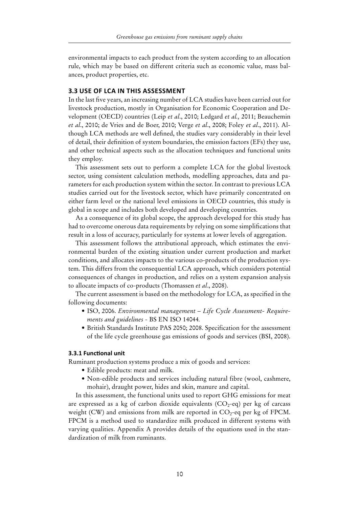environmental impacts to each product from the system according to an allocation rule, which may be based on different criteria such as economic value, mass balances, product properties, etc.

#### **3.3 Use of LCA in this assessment**

In the last five years, an increasing number of LCA studies have been carried out for livestock production, mostly in Organisation for Economic Cooperation and Development (OECD) countries (Leip *et al*., 2010; Ledgard *et al.,* 2011; Beauchemin *et al*., 2010; de Vries and de Boer, 2010; Verge *et al*., 2008; Foley *et al*., 2011). Although LCA methods are well defined, the studies vary considerably in their level of detail, their definition of system boundaries, the emission factors (EFs) they use, and other technical aspects such as the allocation techniques and functional units they employ.

This assessment sets out to perform a complete LCA for the global livestock sector, using consistent calculation methods, modelling approaches, data and parameters for each production system within the sector. In contrast to previous LCA studies carried out for the livestock sector, which have primarily concentrated on either farm level or the national level emissions in OECD countries, this study is global in scope and includes both developed and developing countries.

As a consequence of its global scope, the approach developed for this study has had to overcome onerous data requirements by relying on some simplifications that result in a loss of accuracy, particularly for systems at lower levels of aggregation.

This assessment follows the attributional approach, which estimates the environmental burden of the existing situation under current production and market conditions, and allocates impacts to the various co-products of the production system. This differs from the consequential LCA approach, which considers potential consequences of changes in production, and relies on a system expansion analysis to allocate impacts of co-products (Thomassen *et al*., 2008).

The current assessment is based on the methodology for LCA, as specified in the following documents:

- ISO, 2006. *Environmental management Life Cycle Assessment- Requirements and guidelines* - BS EN ISO 14044*.*
- • British Standards Institute PAS 2050; 2008. Specification for the assessment of the life cycle greenhouse gas emissions of goods and services (BSI, 2008).

#### **3.3.1 Functional unit**

Ruminant production systems produce a mix of goods and services:

- • Edible products: meat and milk.
- Non-edible products and services including natural fibre (wool, cashmere, mohair), draught power, hides and skin, manure and capital.

In this assessment, the functional units used to report GHG emissions for meat are expressed as a kg of carbon dioxide equivalents  $(CO<sub>2</sub>-eq)$  per kg of carcass weight (CW) and emissions from milk are reported in  $CO_2$ -eq per kg of FPCM. FPCM is a method used to standardize milk produced in different systems with varying qualities. Appendix A provides details of the equations used in the standardization of milk from ruminants.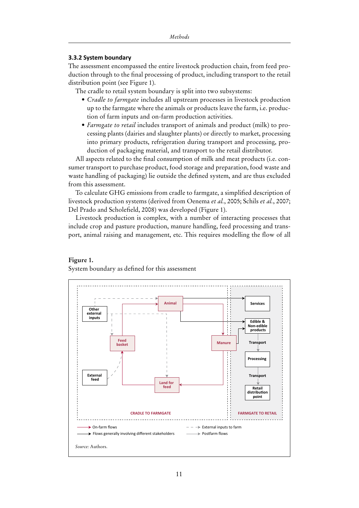#### **3.3.2 System boundary**

The assessment encompassed the entire livestock production chain, from feed production through to the final processing of product, including transport to the retail distribution point (see Figure 1).

The cradle to retail system boundary is split into two subsystems:

- *• Cradle to farmgate* includes all upstream processes in livestock production up to the farmgate where the animals or products leave the farm, i.e. production of farm inputs and on-farm production activities.
- *• Farmgate to retail* includes transport of animals and product (milk) to processing plants (dairies and slaughter plants) or directly to market, processing into primary products, refrigeration during transport and processing, production of packaging material, and transport to the retail distributor.

All aspects related to the final consumption of milk and meat products (i.e. consumer transport to purchase product, food storage and preparation, food waste and waste handling of packaging) lie outside the defined system, and are thus excluded from this assessment.

To calculate GHG emissions from cradle to farmgate, a simplified description of livestock production systems (derived from Oenema *et al.*, 2005; Schils *et al.*, 2007; Del Prado and Scholefield, 2008) was developed (Figure 1).

Livestock production is complex, with a number of interacting processes that include crop and pasture production, manure handling, feed processing and transport, animal raising and management, etc. This requires modelling the flow of all

#### **Figure 1.**

System boundary as defined for this assessment

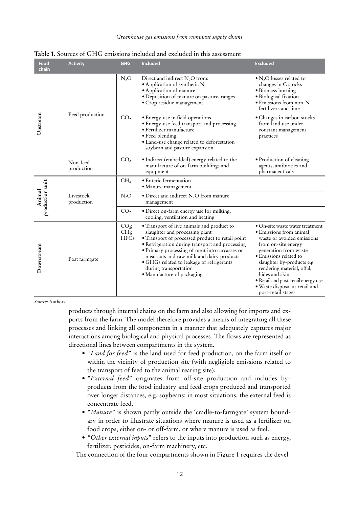| Food<br>chain             | <b>Activity</b>         | <b>GHG</b>                                  | <b>Included</b>                                                                                                                                                                                                                                                                                                                                                                        | <b>Excluded</b>                                                                                                                                                                                                                                                                                                                                 |  |
|---------------------------|-------------------------|---------------------------------------------|----------------------------------------------------------------------------------------------------------------------------------------------------------------------------------------------------------------------------------------------------------------------------------------------------------------------------------------------------------------------------------------|-------------------------------------------------------------------------------------------------------------------------------------------------------------------------------------------------------------------------------------------------------------------------------------------------------------------------------------------------|--|
| Upstream                  | Feed production         | $N_2O$                                      | Direct and indirect $N_2O$ from:<br>· Application of synthetic N<br>· Application of manure<br>· Deposition of manure on pasture, ranges<br>· Crop residue management                                                                                                                                                                                                                  | $\bullet$ N <sub>2</sub> O losses related to<br>changes in C stocks<br>· Biomass burning<br>· Biological fixation<br>· Emissions from non-N<br>fertilizers and lime                                                                                                                                                                             |  |
|                           |                         | CO <sub>2</sub>                             | • Energy use in field operations<br>· Energy use feed transport and processing<br>• Fertilizer manufacture<br>• Feed blending<br>· Land-use change related to deforestation<br>soybean and pasture expansion                                                                                                                                                                           | · Changes in carbon stocks<br>from land use under<br>constant management<br>practices                                                                                                                                                                                                                                                           |  |
|                           | Non-feed<br>production  | CO <sub>2</sub>                             | · Indirect (embedded) energy related to the<br>manufacture of on-farm buildings and<br>equipment                                                                                                                                                                                                                                                                                       | · Production of cleaning<br>agents, antibiotics and<br>pharmaceuticals                                                                                                                                                                                                                                                                          |  |
| production unit<br>Animal | Livestock<br>production | CH <sub>4</sub>                             | · Enteric fermentation<br>• Manure management                                                                                                                                                                                                                                                                                                                                          |                                                                                                                                                                                                                                                                                                                                                 |  |
|                           |                         | $N_2O$                                      | $\bullet$ Direct and indirect N <sub>2</sub> O from manure<br>management                                                                                                                                                                                                                                                                                                               |                                                                                                                                                                                                                                                                                                                                                 |  |
|                           |                         | CO <sub>2</sub>                             | · Direct on-farm energy use for milking,<br>cooling, ventilation and heating                                                                                                                                                                                                                                                                                                           |                                                                                                                                                                                                                                                                                                                                                 |  |
| Downstream                | Post farmgate           | $CO2$ ;<br>CH <sub>4</sub> ;<br><b>HFCs</b> | • Transport of live animals and product to<br>slaughter and processing plant<br>• Transport of processed product to retail point<br>· Refrigeration during transport and processing<br>· Primary processing of meat into carcasses or<br>meat cuts and raw milk and dairy products<br>· GHGs related to leakage of refrigerants<br>during transportation<br>• Manufacture of packaging | · On-site waste water treatment<br>• Emissions from animal<br>waste or avoided emissions<br>from on-site energy<br>generation from waste<br>• Emissions related to<br>slaughter by-products e.g.<br>rendering material, offal,<br>hides and skin<br>· Retail and post-retail energy use<br>· Waste disposal at retail and<br>post-retail stages |  |

|  | <b>Table 1.</b> Sources of GHG emissions included and excluded in this assessment |  |  |  |  |  |  |  |  |
|--|-----------------------------------------------------------------------------------|--|--|--|--|--|--|--|--|
|--|-----------------------------------------------------------------------------------|--|--|--|--|--|--|--|--|

*Source:* Authors.

products through internal chains on the farm and also allowing for imports and exports from the farm. The model therefore provides a means of integrating all these processes and linking all components in a manner that adequately captures major interactions among biological and physical processes. The flows are represented as directional lines between compartments in the system.

- • "*Land for feed*" is the land used for feed production, on the farm itself or within the vicinity of production site (with negligible emissions related to the transport of feed to the animal rearing site).
- *• "External feed*" originates from off-site production and includes byproducts from the food industry and feed crops produced and transported over longer distances, e.g. soybeans; in most situations, the external feed is concentrate feed.
- "Manure" is shown partly outside the 'cradle-to-farmgate' system boundary in order to illustrate situations where manure is used as a fertilizer on food crops, either on- or off-farm, or where manure is used as fuel.
- *• "Other external inputs*" refers to the inputs into production such as energy, fertilizer, pesticides, on-farm machinery, etc.

The connection of the four compartments shown in Figure 1 requires the devel-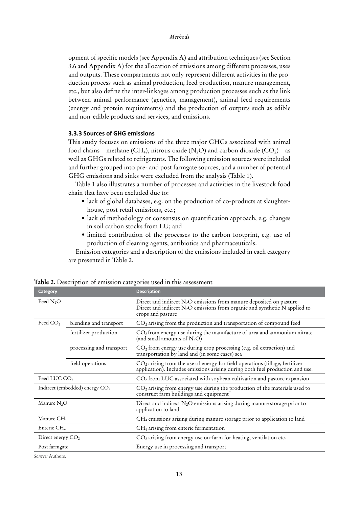opment of specific models (see Appendix A) and attribution techniques (see Section 3.6 and Appendix A) for the allocation of emissions among different processes, uses and outputs. These compartments not only represent different activities in the production process such as animal production, feed production, manure management, etc., but also define the inter-linkages among production processes such as the link between animal performance (genetics, management), animal feed requirements (energy and protein requirements) and the production of outputs such as edible and non-edible products and services, and emissions.

#### **3.3.3 Sources of GHG emissions**

This study focuses on emissions of the three major GHGs associated with animal food chains – methane (CH<sub>4</sub>), nitrous oxide (N<sub>2</sub>O) and carbon dioxide (CO<sub>2</sub>) – as well as GHGs related to refrigerants. The following emission sources were included and further grouped into pre- and post farmgate sources, and a number of potential GHG emissions and sinks were excluded from the analysis (Table 1).

Table 1 also illustrates a number of processes and activities in the livestock food chain that have been excluded due to:

- lack of global databases, e.g. on the production of co-products at slaughterhouse, post retail emissions, etc.;
- lack of methodology or consensus on quantification approach, e.g. changes in soil carbon stocks from LU; and
- • limited contribution of the processes to the carbon footprint, e.g. use of production of cleaning agents, antibiotics and pharmaceuticals.

Emission categories and a description of the emissions included in each category are presented in Table 2.

| Category                         |                          | <b>Description</b>                                                                                                                                                           |  |
|----------------------------------|--------------------------|------------------------------------------------------------------------------------------------------------------------------------------------------------------------------|--|
| Feed N <sub>2</sub> O            |                          | Direct and indirect $N_2O$ emissions from manure deposited on pasture<br>Direct and indirect $N_2O$ emissions from organic and synthetic $N$ applied to<br>crops and pasture |  |
| Feed CO <sub>2</sub>             | blending and transport   | $CO2$ arising from the production and transportation of compound feed                                                                                                        |  |
|                                  | fertilizer production    | $CO2$ from energy use during the manufacture of urea and ammonium nitrate<br>(and small amounts of $N_2O$ )                                                                  |  |
|                                  | processing and transport | CO <sub>2</sub> from energy use during crop processing (e.g. oil extraction) and<br>transportation by land and (in some cases) sea                                           |  |
|                                  | field operations         | $CO2$ arising from the use of energy for field operations (tillage, fertilizer<br>application). Includes emissions arising during both fuel production and use.              |  |
| Feed LUC CO <sub>2</sub>         |                          | $CO2$ from LUC associated with soybean cultivation and pasture expansion                                                                                                     |  |
| Indirect (embedded) energy $CO2$ |                          | CO <sub>2</sub> arising from energy use during the production of the materials used to<br>construct farm buildings and equipment                                             |  |
| Manure $N2O$                     |                          | Direct and indirect N <sub>2</sub> O emissions arising during manure storage prior to<br>application to land                                                                 |  |
| Manure CH <sub>4</sub>           |                          | CH <sub>4</sub> emissions arising during manure storage prior to application to land                                                                                         |  |
| Enteric CH <sub>4</sub>          |                          | $CH4$ arising from enteric fermentation                                                                                                                                      |  |
| Direct energy $CO2$              |                          | $CO2$ arising from energy use on-farm for heating, ventilation etc.                                                                                                          |  |
| Post farmgate                    |                          | Energy use in processing and transport                                                                                                                                       |  |
|                                  |                          |                                                                                                                                                                              |  |

**Table 2.** Description of emission categories used in this assessment

*Source:* Authors.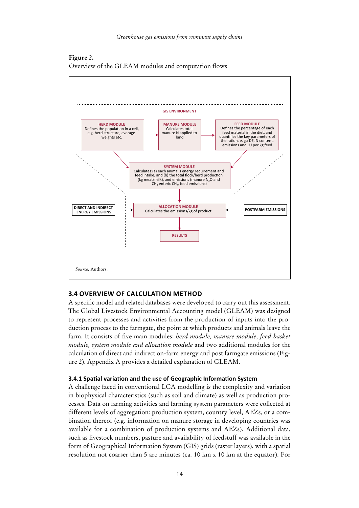#### **Figure 2.**

Overview of the GLEAM modules and computation flows



#### **3.4 Overview of calculation method**

A specific model and related databases were developed to carry out this assessment. The Global Livestock Environmental Accounting model (GLEAM) was designed to represent processes and activities from the production of inputs into the production process to the farmgate, the point at which products and animals leave the farm. It consists of five main modules: *herd module, manure module, feed basket module, system module and allocation module* and two additional modules for the calculation of direct and indirect on-farm energy and post farmgate emissions (Figure 2). Appendix A provides a detailed explanation of GLEAM.

#### **3.4.1 Spatial variation and the use of Geographic Information System**

A challenge faced in conventional LCA modelling is the complexity and variation in biophysical characteristics (such as soil and climate) as well as production processes. Data on farming activities and farming system parameters were collected at different levels of aggregation: production system, country level, AEZs, or a combination thereof (e.g. information on manure storage in developing countries was available for a combination of production systems and AEZs). Additional data, such as livestock numbers, pasture and availability of feedstuff was available in the form of Geographical Information System (GIS) grids (raster layers), with a spatial resolution not coarser than 5 arc minutes (ca. 10 km x 10 km at the equator). For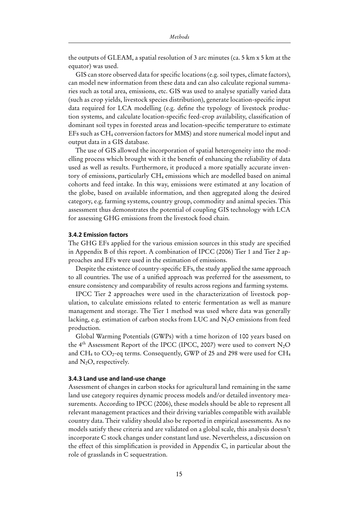the outputs of GLEAM, a spatial resolution of 3 arc minutes (ca. 5 km x 5 km at the equator) was used.

GIS can store observed data for specific locations (e.g. soil types, climate factors), can model new information from these data and can also calculate regional summaries such as total area, emissions, etc. GIS was used to analyse spatially varied data (such as crop yields, livestock species distribution), generate location-specific input data required for LCA modelling (e.g. define the typology of livestock production systems, and calculate location-specific feed-crop availability, classification of dominant soil types in forested areas and location-specific temperature to estimate EFs such as CH4 conversion factors for MMS) and store numerical model input and output data in a GIS database.

The use of GIS allowed the incorporation of spatial heterogeneity into the modelling process which brought with it the benefit of enhancing the reliability of data used as well as results. Furthermore, it produced a more spatially accurate inventory of emissions, particularly CH<sub>4</sub> emissions which are modelled based on animal cohorts and feed intake. In this way, emissions were estimated at any location of the globe, based on available information, and then aggregated along the desired category, e.g. farming systems, country group, commodity and animal species. This assessment thus demonstrates the potential of coupling GIS technology with LCA for assessing GHG emissions from the livestock food chain.

#### **3.4.2 Emission factors**

The GHG EFs applied for the various emission sources in this study are specified in Appendix B of this report. A combination of IPCC (2006) Tier 1 and Tier 2 approaches and EFs were used in the estimation of emissions.

Despite the existence of country-specific EFs, the study applied the same approach to all countries. The use of a unified approach was preferred for the assessment, to ensure consistency and comparability of results across regions and farming systems.

IPCC Tier 2 approaches were used in the characterization of livestock population, to calculate emissions related to enteric fermentation as well as manure management and storage. The Tier 1 method was used where data was generally lacking, e.g. estimation of carbon stocks from LUC and  $N_2O$  emissions from feed production.

Global Warming Potentials (GWPs) with a time horizon of 100 years based on the 4<sup>th</sup> Assessment Report of the IPCC (IPCC, 2007) were used to convert  $N_2O$ and  $CH_4$  to  $CO_2$ -eq terms. Consequently, GWP of 25 and 298 were used for  $CH_4$ and  $N<sub>2</sub>O$ , respectively.

#### **3.4.3 Land use and land-use change**

Assessment of changes in carbon stocks for agricultural land remaining in the same land use category requires dynamic process models and/or detailed inventory measurements. According to IPCC (2006), these models should be able to represent all relevant management practices and their driving variables compatible with available country data. Their validity should also be reported in empirical assessments. As no models satisfy these criteria and are validated on a global scale, this analysis doesn't incorporate C stock changes under constant land use. Nevertheless, a discussion on the effect of this simplification is provided in Appendix C, in particular about the role of grasslands in C sequestration.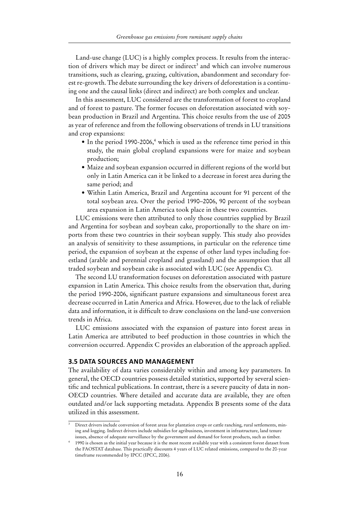Land-use change (LUC) is a highly complex process. It results from the interaction of drivers which may be direct or indirect<sup>3</sup> and which can involve numerous transitions, such as clearing, grazing, cultivation, abandonment and secondary forest re-growth. The debate surrounding the key drivers of deforestation is a continuing one and the causal links (direct and indirect) are both complex and unclear.

In this assessment, LUC considered are the transformation of forest to cropland and of forest to pasture. The former focuses on deforestation associated with soybean production in Brazil and Argentina. This choice results from the use of 2005 as year of reference and from the following observations of trends in LU transitions and crop expansions:

- In the period 1990-2006,<sup>4</sup> which is used as the reference time period in this study, the main global cropland expansions were for maize and soybean production;
- • Maize and soybean expansion occurred in different regions of the world but only in Latin America can it be linked to a decrease in forest area during the same period; and
- • Within Latin America, Brazil and Argentina account for 91 percent of the total soybean area. Over the period 1990–2006, 90 percent of the soybean area expansion in Latin America took place in these two countries.

LUC emissions were then attributed to only those countries supplied by Brazil and Argentina for soybean and soybean cake, proportionally to the share on imports from these two countries in their soybean supply. This study also provides an analysis of sensitivity to these assumptions, in particular on the reference time period, the expansion of soybean at the expense of other land types including forestland (arable and perennial cropland and grassland) and the assumption that all traded soybean and soybean cake is associated with LUC (see Appendix C).

The second LU transformation focuses on deforestation associated with pasture expansion in Latin America. This choice results from the observation that, during the period 1990-2006, significant pasture expansions and simultaneous forest area decrease occurred in Latin America and Africa. However, due to the lack of reliable data and information, it is difficult to draw conclusions on the land-use conversion trends in Africa.

LUC emissions associated with the expansion of pasture into forest areas in Latin America are attributed to beef production in those countries in which the conversion occurred. Appendix C provides an elaboration of the approach applied.

# **3.5 Data sources and management**

The availability of data varies considerably within and among key parameters. In general, the OECD countries possess detailed statistics, supported by several scientific and technical publications. In contrast, there is a severe paucity of data in non-OECD countries. Where detailed and accurate data are available, they are often outdated and/or lack supporting metadata. Appendix B presents some of the data utilized in this assessment.

Direct drivers include conversion of forest areas for plantation crops or cattle ranching, rural settlements, mining and logging. Indirect drivers include subsidies for agribusiness, investment in infrastructure, land tenure issues, absence of adequate surveillance by the government and demand for forest products, such as timber.

<sup>4</sup> 1990 is chosen as the initial year because it is the most recent available year with a consistent forest dataset from the FAOSTAT database. This practically discounts 4 years of LUC related emissions, compared to the 20-year timeframe recommended by IPCC (IPCC, 2006).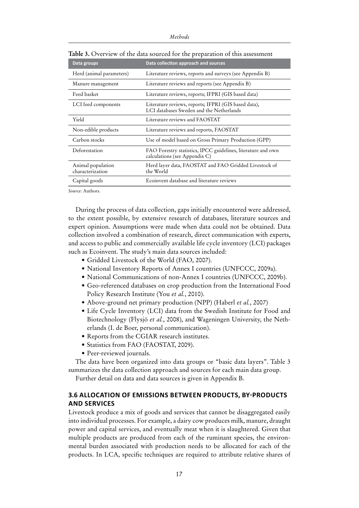| Data groups                           | Data collection approach and sources                                                             |
|---------------------------------------|--------------------------------------------------------------------------------------------------|
| Herd (animal parameters)              | Literature reviews, reports and surveys (see Appendix B)                                         |
| Manure management                     | Literature reviews and reports (see Appendix B)                                                  |
| Feed basket                           | Literature reviews, reports; IFPRI (GIS based data)                                              |
| LCI feed components                   | Literature reviews, reports; IFPRI (GIS based data),<br>LCI databases Sweden and the Netherlands |
| Yield                                 | Literature reviews and FAOSTAT                                                                   |
| Non-edible products                   | Literature reviews and reports, FAOSTAT                                                          |
| Carbon stocks                         | Use of model based on Gross Primary Production (GPP)                                             |
| Deforestation                         | FAO Forestry statistics, IPCC guidelines, literature and own<br>calculations (see Appendix C)    |
| Animal population<br>characterization | Herd layer data, FAOSTAT and FAO Gridded Livestock of<br>the World                               |
| Capital goods                         | Ecoinvent database and literature reviews                                                        |

**Table 3.** Overview of the data sourced for the preparation of this assessment

*Source:* Authors.

During the process of data collection, gaps initially encountered were addressed, to the extent possible, by extensive research of databases, literature sources and expert opinion. Assumptions were made when data could not be obtained. Data collection involved a combination of research, direct communication with experts, and access to public and commercially available life cycle inventory (LCI) packages such as Ecoinvent. The study's main data sources included:

- • Gridded Livestock of the World (FAO, 2007).
- National Inventory Reports of Annex I countries (UNFCCC, 2009a).
- National Communications of non-Annex I countries (UNFCCC, 2009b).
- Geo-referenced databases on crop production from the International Food Policy Research Institute (You *et al.*, 2010).
- Above-ground net primary production (NPP) (Haberl *et al.*, 2007)
- Life Cycle Inventory (LCI) data from the Swedish Institute for Food and Biotechnology (Flysjö *et al.*, 2008), and Wageningen University, the Netherlands (I. de Boer, personal communication).
- • Reports from the CGIAR research institutes.
- Statistics from FAO (FAOSTAT, 2009).
- Peer-reviewed journals.

The data have been organized into data groups or "basic data layers". Table 3 summarizes the data collection approach and sources for each main data group.

Further detail on data and data sources is given in Appendix B.

## **3.6 Allocation of emissions between products, by-products and services**

Livestock produce a mix of goods and services that cannot be disaggregated easily into individual processes. For example, a dairy cow produces milk, manure, draught power and capital services, and eventually meat when it is slaughtered. Given that multiple products are produced from each of the ruminant species, the environmental burden associated with production needs to be allocated for each of the products. In LCA, specific techniques are required to attribute relative shares of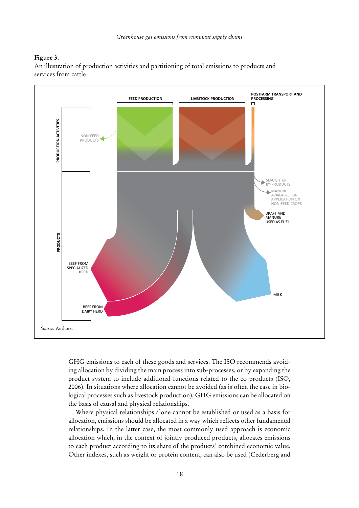#### **Figure 3.**

An illustration of production activities and partitioning of total emissions to products and services from cattle



GHG emissions to each of these goods and services. The ISO recommends avoiding allocation by dividing the main process into sub-processes, or by expanding the product system to include additional functions related to the co-products (ISO, 2006). In situations where allocation cannot be avoided (as is often the case in biological processes such as livestock production), GHG emissions can be allocated on the basis of causal and physical relationships.

Where physical relationships alone cannot be established or used as a basis for allocation, emissions should be allocated in a way which reflects other fundamental relationships. In the latter case, the most commonly used approach is economic allocation which, in the context of jointly produced products, allocates emissions to each product according to its share of the products' combined economic value. Other indexes, such as weight or protein content, can also be used (Cederberg and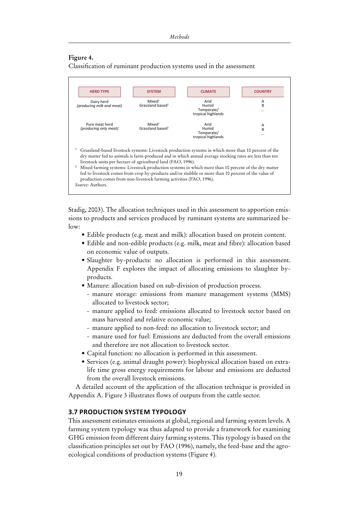### **Figure 4.**

Classification of ruminant production systems used in the assessment



Stadig, 2003). The allocation techniques used in this assessment to apportion emissions to products and services produced by ruminant systems are summarized below:

- Edible products (e.g. meat and milk): allocation based on protein content.
- • Edible and non-edible products (e.g. milk, meat and fibre): allocation based on economic value of outputs.
- Slaughter by-products: no allocation is performed in this assessment. Appendix F explores the impact of allocating emissions to slaughter byproducts.
- Manure: allocation based on sub-division of production process.
	- manure storage: emissions from manure management systems (MMS) allocated to livestock sector;
	- manure applied to feed: emissions allocated to livestock sector based on mass harvested and relative economic value;
	- manure applied to non-feed: no allocation to livestock sector; and
	- manure used for fuel: Emissions are deducted from the overall emissions and therefore are not allocation to livestock sector.
- • Capital function: no allocation is performed in this assessment.
- Services (e.g. animal draught power): biophysical allocation based on extralife time gross energy requirements for labour and emissions are deducted from the overall livestock emissions.

A detailed account of the application of the allocation technique is provided in Appendix A. Figure 3 illustrates flows of outputs from the cattle sector.

# **3.7 Production system typology**

This assessment estimates emissions at global, regional and farming system levels. A farming system typology was thus adapted to provide a framework for examining GHG emission from different dairy farming systems. This typology is based on the classification principles set out by FAO (1996), namely, the feed-base and the agroecological conditions of production systems (Figure 4).